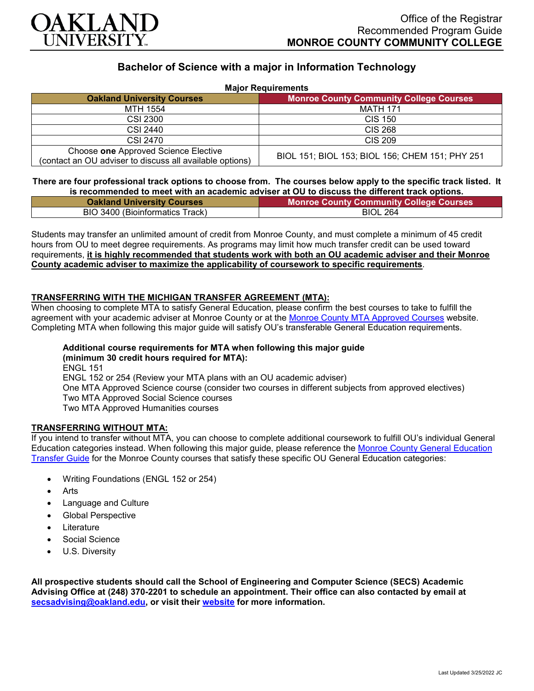

# **Bachelor of Science with a major in Information Technology**

| <b>Major Requirements</b>                                                                        |                                                 |
|--------------------------------------------------------------------------------------------------|-------------------------------------------------|
| <b>Oakland University Courses</b>                                                                | <b>Monroe County Community College Courses</b>  |
| MTH 1554                                                                                         | <b>MATH 171</b>                                 |
| CSI 2300                                                                                         | <b>CIS 150</b>                                  |
| CSI 2440                                                                                         | <b>CIS 268</b>                                  |
| CSI 2470                                                                                         | <b>CIS 209</b>                                  |
| Choose one Approved Science Elective<br>(contact an OU adviser to discuss all available options) | BIOL 151; BIOL 153; BIOL 156; CHEM 151; PHY 251 |

## **There are four professional track options to choose from. The courses below apply to the specific track listed. It is recommended to meet with an academic adviser at OU to discuss the different track options.**

| <b>Oakland University Courses</b> | <b>Monroe County Community College Courses</b> |
|-----------------------------------|------------------------------------------------|
| BIO 3400 (Bioinformatics Track)   | <b>BIOL 264</b>                                |

Students may transfer an unlimited amount of credit from Monroe County, and must complete a minimum of 45 credit hours from OU to meet degree requirements. As programs may limit how much transfer credit can be used toward requirements, **it is highly recommended that students work with both an OU academic adviser and their Monroe County academic adviser to maximize the applicability of coursework to specific requirements**.

# **TRANSFERRING WITH THE MICHIGAN TRANSFER AGREEMENT (MTA):**

When choosing to complete MTA to satisfy General Education, please confirm the best courses to take to fulfill the agreement with your academic adviser at Monroe County or at the [Monroe County MTA Approved Courses](https://www.monroeccc.edu/transfer/michigan-transfer-agreement) website. Completing MTA when following this major guide will satisfy OU's transferable General Education requirements.

#### **Additional course requirements for MTA when following this major guide (minimum 30 credit hours required for MTA):**

ENGL 151 ENGL 152 or 254 (Review your MTA plans with an OU academic adviser) One MTA Approved Science course (consider two courses in different subjects from approved electives) Two MTA Approved Social Science courses Two MTA Approved Humanities courses

## **TRANSFERRING WITHOUT MTA:**

If you intend to transfer without MTA, you can choose to complete additional coursework to fulfill OU's individual General Education categories instead. When following this major guide, please reference the [Monroe County General Education](https://www.oakland.edu/Assets/Oakland/program-guides/monroe-county-community-college/university-general-education-requirements/Monroe%20County%20Gen%20Ed.pdf)  [Transfer Guide](https://www.oakland.edu/Assets/Oakland/program-guides/monroe-county-community-college/university-general-education-requirements/Monroe%20County%20Gen%20Ed.pdf) for the Monroe County courses that satisfy these specific OU General Education categories:

- Writing Foundations (ENGL 152 or 254)
- **Arts**
- Language and Culture
- Global Perspective
- **Literature**
- Social Science
- U.S. Diversity

**All prospective students should call the School of Engineering and Computer Science (SECS) Academic Advising Office at (248) 370-2201 to schedule an appointment. Their office can also contacted by email at [secsadvising@oakland.edu,](mailto:secsadvising@oakland.edu) or visit their [website](https://wwwp.oakland.edu/secs/advising/) for more information.**